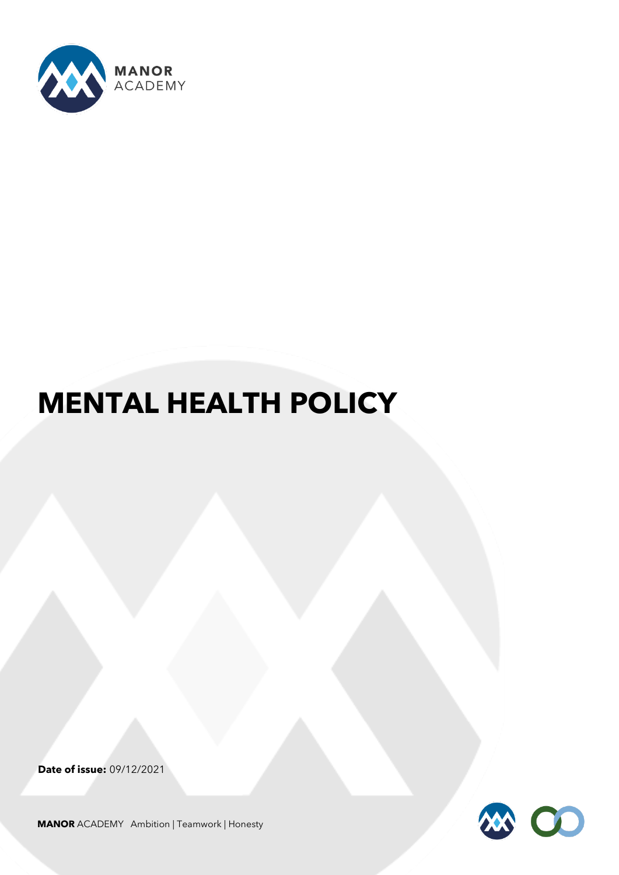

# **MENTAL HEALTH POLICY**

**Date of issue:** 09/12/2021



**MANOR** ACADEMY Ambition | Teamwork | Honesty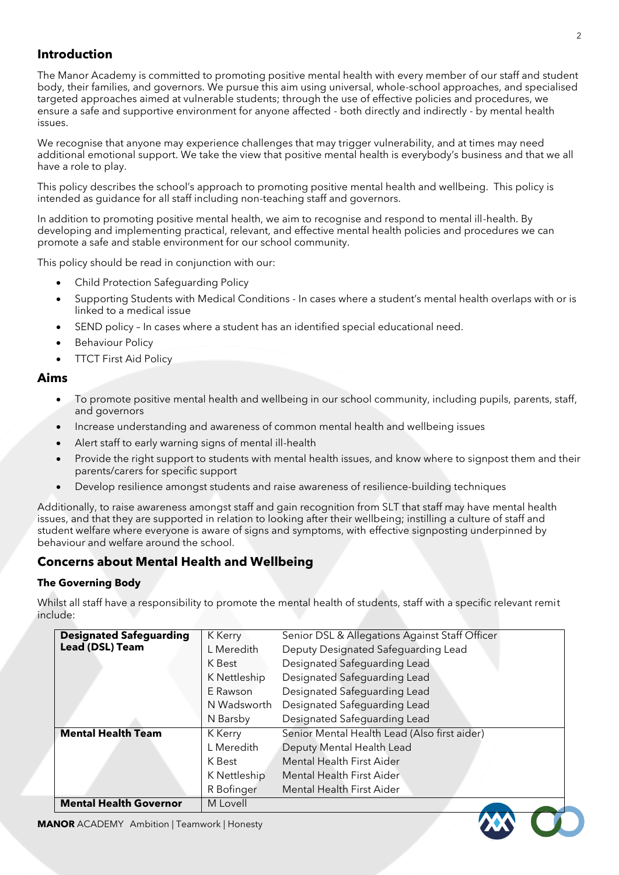# **Introduction**

The Manor Academy is committed to promoting positive mental health with every member of our staff and student body, their families, and governors. We pursue this aim using universal, whole-school approaches, and specialised targeted approaches aimed at vulnerable students; through the use of effective policies and procedures, we ensure a safe and supportive environment for anyone affected - both directly and indirectly - by mental health issues.

We recognise that anyone may experience challenges that may trigger vulnerability, and at times may need additional emotional support. We take the view that positive mental health is everybody's business and that we all have a role to play.

This policy describes the school's approach to promoting positive mental health and wellbeing. This policy is intended as guidance for all staff including non-teaching staff and governors.

In addition to promoting positive mental health, we aim to recognise and respond to mental ill-health. By developing and implementing practical, relevant, and effective mental health policies and procedures we can promote a safe and stable environment for our school community.

This policy should be read in conjunction with our:

- Child Protection Safeguarding Policy
- Supporting Students with Medical Conditions In cases where a student's mental health overlaps with or is linked to a medical issue
- SEND policy In cases where a student has an identified special educational need.
- **Behaviour Policy**
- **TTCT First Aid Policy**

## **Aims**

- To promote positive mental health and wellbeing in our school community, including pupils, parents, staff, and governors
- Increase understanding and awareness of common mental health and wellbeing issues
- Alert staff to early warning signs of mental ill-health
- Provide the right support to students with mental health issues, and know where to signpost them and their parents/carers for specific support
- Develop resilience amongst students and raise awareness of resilience-building techniques

Additionally, to raise awareness amongst staff and gain recognition from SLT that staff may have mental health issues, and that they are supported in relation to looking after their wellbeing; instilling a culture of staff and student welfare where everyone is aware of signs and symptoms, with effective signposting underpinned by behaviour and welfare around the school.

# **Concerns about Mental Health and Wellbeing**

## **The Governing Body**

Whilst all staff have a responsibility to promote the mental health of students, staff with a specific relevant remit include:

| <b>Designated Safeguarding</b>                   | K Kerry      | Senior DSL & Allegations Against Staff Officer |
|--------------------------------------------------|--------------|------------------------------------------------|
| <b>Lead (DSL) Team</b>                           | L Meredith   | Deputy Designated Safeguarding Lead            |
|                                                  | K Best       | Designated Safeguarding Lead                   |
|                                                  | K Nettleship | Designated Safeguarding Lead                   |
|                                                  | E Rawson     | Designated Safeguarding Lead                   |
|                                                  | N Wadsworth  | Designated Safeguarding Lead                   |
|                                                  | N Barsby     | Designated Safeguarding Lead                   |
| <b>Mental Health Team</b>                        | K Kerry      | Senior Mental Health Lead (Also first aider)   |
|                                                  | L Meredith   | Deputy Mental Health Lead                      |
|                                                  | K Best       | <b>Mental Health First Aider</b>               |
|                                                  | K Nettleship | Mental Health First Aider                      |
|                                                  | R Bofinger   | Mental Health First Aider                      |
| <b>Mental Health Governor</b>                    | M Lovell     |                                                |
| <b>NOR</b> ACADEMY Ambition   Teamwork   Honesty |              |                                                |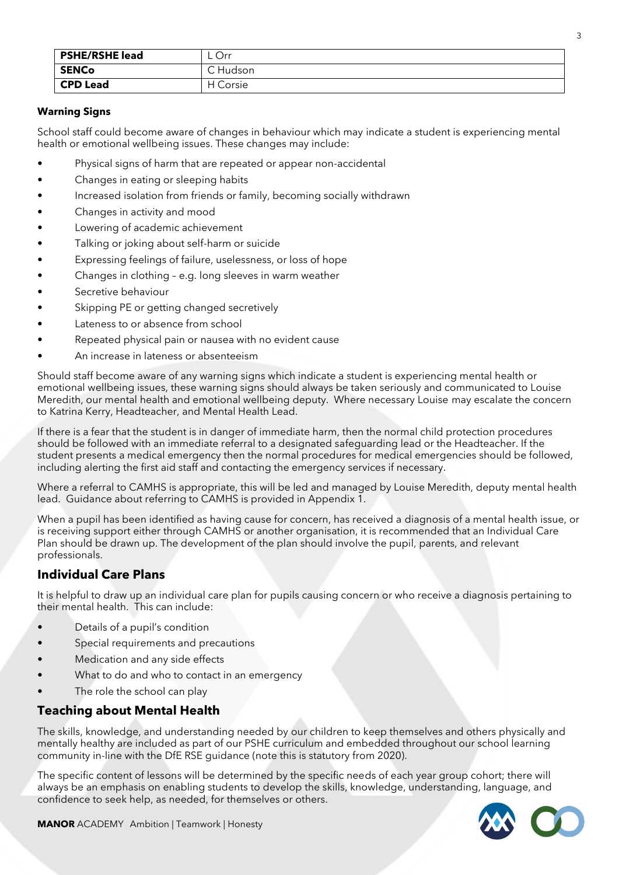| <b>PSHE/RSHE lead</b> | Orr           |
|-----------------------|---------------|
| <b>SENCo</b>          | C Hudson      |
| <b>CPD Lead</b>       | ' Corsie<br>н |

### **Warning Signs**

School staff could become aware of changes in behaviour which may indicate a student is experiencing mental health or emotional wellbeing issues. These changes may include:

- Physical signs of harm that are repeated or appear non-accidental
- Changes in eating or sleeping habits
- Increased isolation from friends or family, becoming socially withdrawn
- Changes in activity and mood
- Lowering of academic achievement
- Talking or joking about self-harm or suicide
- Expressing feelings of failure, uselessness, or loss of hope
- Changes in clothing e.g. long sleeves in warm weather
- Secretive behaviour
- Skipping PE or getting changed secretively
- Lateness to or absence from school
- Repeated physical pain or nausea with no evident cause
- An increase in lateness or absenteeism

Should staff become aware of any warning signs which indicate a student is experiencing mental health or emotional wellbeing issues, these warning signs should always be taken seriously and communicated to Louise Meredith, our mental health and emotional wellbeing deputy. Where necessary Louise may escalate the concern to Katrina Kerry, Headteacher, and Mental Health Lead.

If there is a fear that the student is in danger of immediate harm, then the normal child protection procedures should be followed with an immediate referral to a designated safeguarding lead or the Headteacher. If the student presents a medical emergency then the normal procedures for medical emergencies should be followed, including alerting the first aid staff and contacting the emergency services if necessary.

Where a referral to CAMHS is appropriate, this will be led and managed by Louise Meredith, deputy mental health lead. Guidance about referring to CAMHS is provided in Appendix 1.

When a pupil has been identified as having cause for concern, has received a diagnosis of a mental health issue, or is receiving support either through CAMHS or another organisation, it is recommended that an Individual Care Plan should be drawn up. The development of the plan should involve the pupil, parents, and relevant professionals.

# **Individual Care Plans**

It is helpful to draw up an individual care plan for pupils causing concern or who receive a diagnosis pertaining to their mental health. This can include:

- Details of a pupil's condition
- Special requirements and precautions
- Medication and any side effects
- What to do and who to contact in an emergency
- The role the school can play

# **Teaching about Mental Health**

The skills, knowledge, and understanding needed by our children to keep themselves and others physically and mentally healthy are included as part of our PSHE curriculum and embedded throughout our school learning community in-line with the DfE RSE guidance (note this is statutory from 2020).

The specific content of lessons will be determined by the specific needs of each year group cohort; there will always be an emphasis on enabling students to develop the skills, knowledge, understanding, language, and confidence to seek help, as needed, for themselves or others.



**MANOR** ACADEMY Ambition | Teamwork | Honesty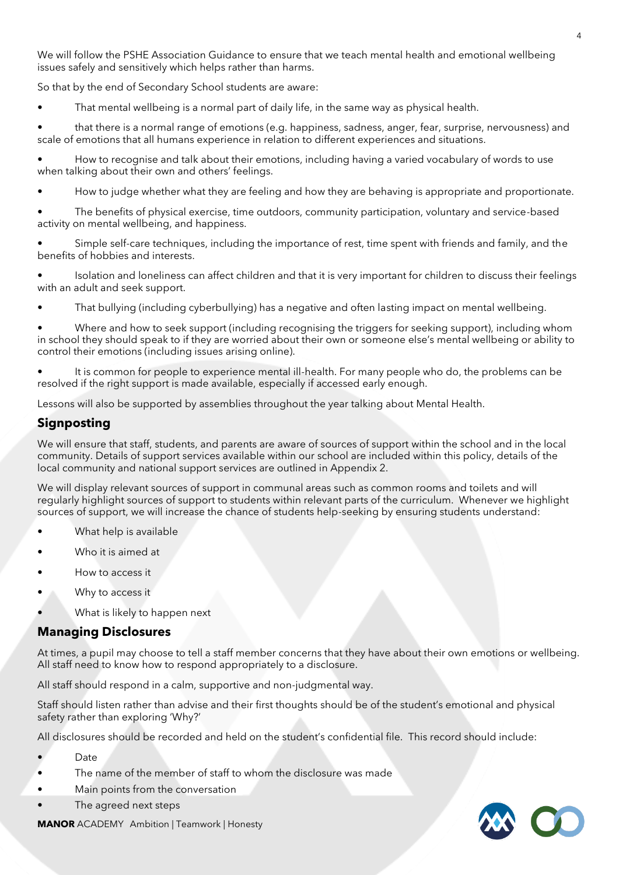We will follow the PSHE Association Guidance to ensure that we teach mental health and emotional wellbeing issues safely and sensitively which helps rather than harms.

So that by the end of Secondary School students are aware:

That mental wellbeing is a normal part of daily life, in the same way as physical health.

• that there is a normal range of emotions (e.g. happiness, sadness, anger, fear, surprise, nervousness) and scale of emotions that all humans experience in relation to different experiences and situations.

• How to recognise and talk about their emotions, including having a varied vocabulary of words to use when talking about their own and others' feelings.

• How to judge whether what they are feeling and how they are behaving is appropriate and proportionate.

• The benefits of physical exercise, time outdoors, community participation, voluntary and service-based activity on mental wellbeing, and happiness.

• Simple self-care techniques, including the importance of rest, time spent with friends and family, and the benefits of hobbies and interests.

• Isolation and loneliness can affect children and that it is very important for children to discuss their feelings with an adult and seek support.

• That bullying (including cyberbullying) has a negative and often lasting impact on mental wellbeing.

• Where and how to seek support (including recognising the triggers for seeking support), including whom in school they should speak to if they are worried about their own or someone else's mental wellbeing or ability to control their emotions (including issues arising online).

• It is common for people to experience mental ill-health. For many people who do, the problems can be resolved if the right support is made available, especially if accessed early enough.

Lessons will also be supported by assemblies throughout the year talking about Mental Health.

# **Signposting**

We will ensure that staff, students, and parents are aware of sources of support within the school and in the local community. Details of support services available within our school are included within this policy, details of the local community and national support services are outlined in Appendix 2.

We will display relevant sources of support in communal areas such as common rooms and toilets and will regularly highlight sources of support to students within relevant parts of the curriculum. Whenever we highlight sources of support, we will increase the chance of students help-seeking by ensuring students understand:

- What help is available
- Who it is aimed at
- How to access it
- Why to access it
- What is likely to happen next

## **Managing Disclosures**

At times, a pupil may choose to tell a staff member concerns that they have about their own emotions or wellbeing. All staff need to know how to respond appropriately to a disclosure.

All staff should respond in a calm, supportive and non-judgmental way.

Staff should listen rather than advise and their first thoughts should be of the student's emotional and physical safety rather than exploring 'Why?'

All disclosures should be recorded and held on the student's confidential file. This record should include:

- Date
- The name of the member of staff to whom the disclosure was made
- Main points from the conversation
- The agreed next steps

**MANOR** ACADEMY Ambition | Teamwork | Honesty

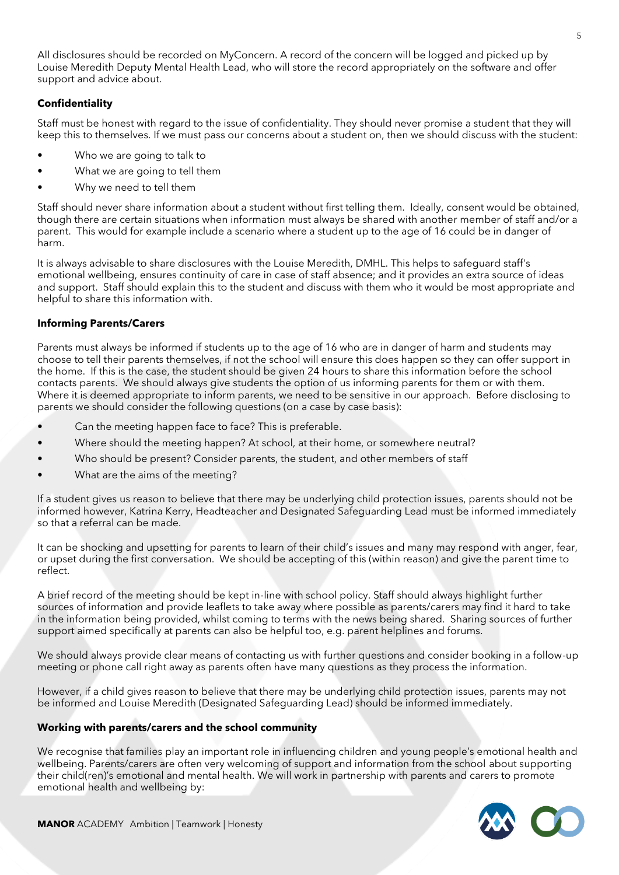All disclosures should be recorded on MyConcern. A record of the concern will be logged and picked up by Louise Meredith Deputy Mental Health Lead, who will store the record appropriately on the software and offer support and advice about.

## **Confidentiality**

Staff must be honest with regard to the issue of confidentiality. They should never promise a student that they will keep this to themselves. If we must pass our concerns about a student on, then we should discuss with the student:

- Who we are going to talk to
- What we are going to tell them
- Why we need to tell them

Staff should never share information about a student without first telling them. Ideally, consent would be obtained, though there are certain situations when information must always be shared with another member of staff and/or a parent. This would for example include a scenario where a student up to the age of 16 could be in danger of harm.

It is always advisable to share disclosures with the Louise Meredith, DMHL. This helps to safeguard staff's emotional wellbeing, ensures continuity of care in case of staff absence; and it provides an extra source of ideas and support. Staff should explain this to the student and discuss with them who it would be most appropriate and helpful to share this information with.

#### **Informing Parents/Carers**

Parents must always be informed if students up to the age of 16 who are in danger of harm and students may choose to tell their parents themselves, if not the school will ensure this does happen so they can offer support in the home. If this is the case, the student should be given 24 hours to share this information before the school contacts parents. We should always give students the option of us informing parents for them or with them. Where it is deemed appropriate to inform parents, we need to be sensitive in our approach. Before disclosing to parents we should consider the following questions (on a case by case basis):

- Can the meeting happen face to face? This is preferable.
- Where should the meeting happen? At school, at their home, or somewhere neutral?
- Who should be present? Consider parents, the student, and other members of staff
- What are the aims of the meeting?

If a student gives us reason to believe that there may be underlying child protection issues, parents should not be informed however, Katrina Kerry, Headteacher and Designated Safeguarding Lead must be informed immediately so that a referral can be made.

It can be shocking and upsetting for parents to learn of their child's issues and many may respond with anger, fear, or upset during the first conversation. We should be accepting of this (within reason) and give the parent time to reflect.

A brief record of the meeting should be kept in-line with school policy. Staff should always highlight further sources of information and provide leaflets to take away where possible as parents/carers may find it hard to take in the information being provided, whilst coming to terms with the news being shared. Sharing sources of further support aimed specifically at parents can also be helpful too, e.g. parent helplines and forums.

We should always provide clear means of contacting us with further questions and consider booking in a follow-up meeting or phone call right away as parents often have many questions as they process the information.

However, if a child gives reason to believe that there may be underlying child protection issues, parents may not be informed and Louise Meredith (Designated Safeguarding Lead) should be informed immediately.

#### **Working with parents/carers and the school community**

We recognise that families play an important role in influencing children and young people's emotional health and wellbeing. Parents/carers are often very welcoming of support and information from the school about supporting their child(ren)'s emotional and mental health. We will work in partnership with parents and carers to promote emotional health and wellbeing by: